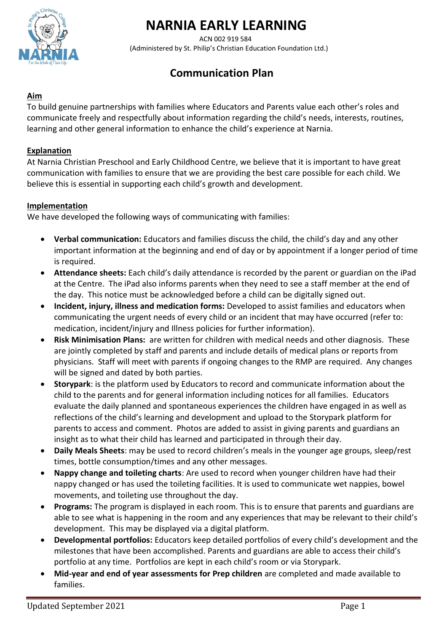

# **NARNIA EARLY LEARNING**

 ACN 002 919 584 (Administered by St. Philip's Christian Education Foundation Ltd.)

# **Communication Plan**

### **Aim**

To build genuine partnerships with families where Educators and Parents value each other's roles and communicate freely and respectfully about information regarding the child's needs, interests, routines, learning and other general information to enhance the child's experience at Narnia.

#### **Explanation**

At Narnia Christian Preschool and Early Childhood Centre, we believe that it is important to have great communication with families to ensure that we are providing the best care possible for each child. We believe this is essential in supporting each child's growth and development.

#### **Implementation**

We have developed the following ways of communicating with families:

- **Verbal communication:** Educators and families discuss the child, the child's day and any other important information at the beginning and end of day or by appointment if a longer period of time is required.
- **Attendance sheets:** Each child's daily attendance is recorded by the parent or guardian on the iPad at the Centre. The iPad also informs parents when they need to see a staff member at the end of the day. This notice must be acknowledged before a child can be digitally signed out.
- **Incident, injury, illness and medication forms:** Developed to assist families and educators when communicating the urgent needs of every child or an incident that may have occurred (refer to: medication, incident/injury and Illness policies for further information).
- **Risk Minimisation Plans:** are written for children with medical needs and other diagnosis. These are jointly completed by staff and parents and include details of medical plans or reports from physicians. Staff will meet with parents if ongoing changes to the RMP are required. Any changes will be signed and dated by both parties.
- **Storypark**: is the platform used by Educators to record and communicate information about the child to the parents and for general information including notices for all families. Educators evaluate the daily planned and spontaneous experiences the children have engaged in as well as reflections of the child's learning and development and upload to the Storypark platform for parents to access and comment. Photos are added to assist in giving parents and guardians an insight as to what their child has learned and participated in through their day.
- **Daily Meals Sheets**: may be used to record children's meals in the younger age groups, sleep/rest times, bottle consumption/times and any other messages.
- **Nappy change and toileting charts**: Are used to record when younger children have had their nappy changed or has used the toileting facilities. It is used to communicate wet nappies, bowel movements, and toileting use throughout the day.
- **Programs:** The program is displayed in each room. This is to ensure that parents and guardians are able to see what is happening in the room and any experiences that may be relevant to their child's development. This may be displayed via a digital platform.
- **Developmental portfolios:** Educators keep detailed portfolios of every child's development and the milestones that have been accomplished. Parents and guardians are able to access their child's portfolio at any time. Portfolios are kept in each child's room or via Storypark.
- **Mid-year and end of year assessments for Prep children** are completed and made available to families.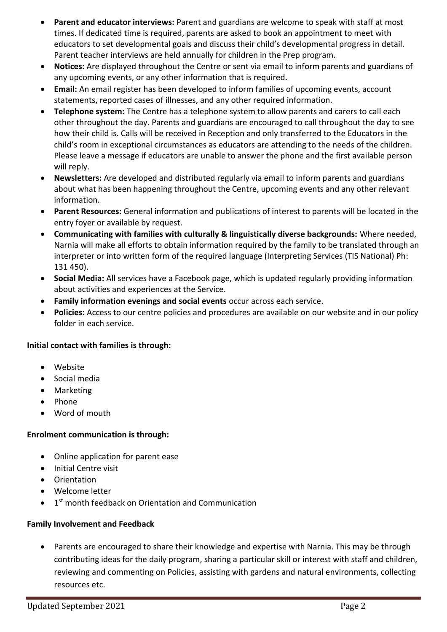- **Parent and educator interviews:** Parent and guardians are welcome to speak with staff at most times. If dedicated time is required, parents are asked to book an appointment to meet with educators to set developmental goals and discuss their child's developmental progress in detail. Parent teacher interviews are held annually for children in the Prep program.
- **Notices:** Are displayed throughout the Centre or sent via email to inform parents and guardians of any upcoming events, or any other information that is required.
- **Email:** An email register has been developed to inform families of upcoming events, account statements, reported cases of illnesses, and any other required information.
- **Telephone system:** The Centre has a telephone system to allow parents and carers to call each other throughout the day. Parents and guardians are encouraged to call throughout the day to see how their child is. Calls will be received in Reception and only transferred to the Educators in the child's room in exceptional circumstances as educators are attending to the needs of the children. Please leave a message if educators are unable to answer the phone and the first available person will reply.
- **Newsletters:** Are developed and distributed regularly via email to inform parents and guardians about what has been happening throughout the Centre, upcoming events and any other relevant information.
- **Parent Resources:** General information and publications of interest to parents will be located in the entry foyer or available by request.
- **Communicating with families with culturally & linguistically diverse backgrounds:** Where needed, Narnia will make all efforts to obtain information required by the family to be translated through an interpreter or into written form of the required language (Interpreting Services (TIS National) Ph: 131 450).
- **Social Media:** All services have a Facebook page, which is updated regularly providing information about activities and experiences at the Service.
- **Family information evenings and social events** occur across each service.
- **Policies:** Access to our centre policies and procedures are available on our website and in our policy folder in each service.

#### **Initial contact with families is through:**

- Website
- Social media
- Marketing
- Phone
- Word of mouth

#### **Enrolment communication is through:**

- Online application for parent ease
- Initial Centre visit
- Orientation
- Welcome letter
- 1<sup>st</sup> month feedback on Orientation and Communication

#### **Family Involvement and Feedback**

• Parents are encouraged to share their knowledge and expertise with Narnia. This may be through contributing ideas for the daily program, sharing a particular skill or interest with staff and children, reviewing and commenting on Policies, assisting with gardens and natural environments, collecting resources etc.